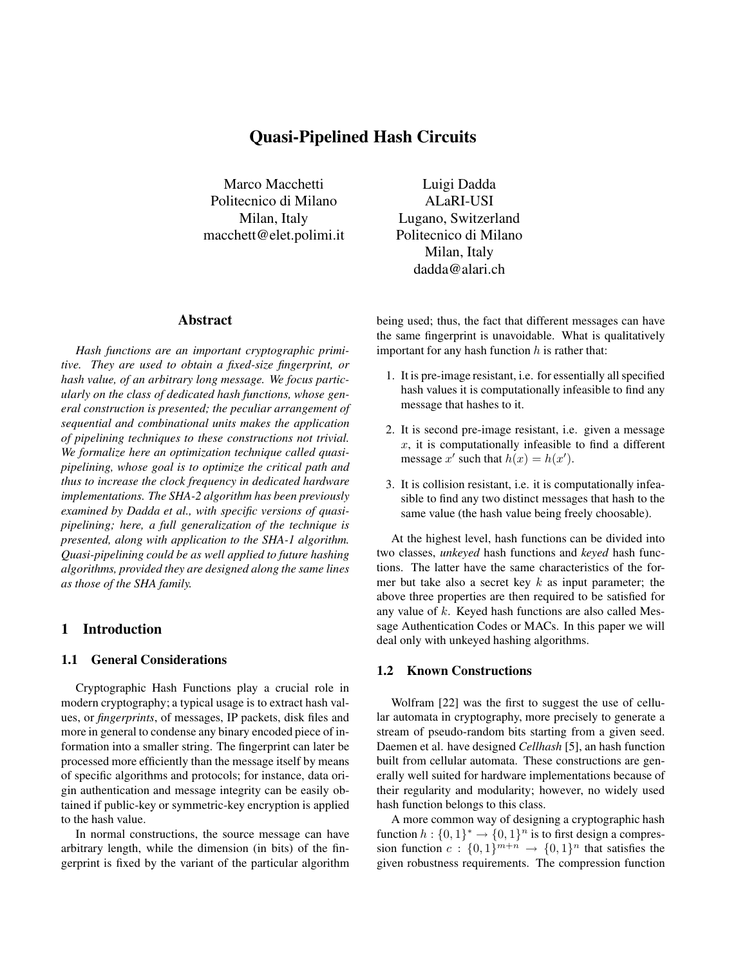# **Quasi-Pipelined Hash Circuits**

Marco Macchetti Politecnico di Milano Milan, Italy macchett@elet.polimi.it

#### **Abstract**

*Hash functions are an important cryptographic primitive. They are used to obtain a fixed-size fingerprint, or hash value, of an arbitrary long message. We focus particularly on the class of dedicated hash functions, whose general construction is presented; the peculiar arrangement of sequential and combinational units makes the application of pipelining techniques to these constructions not trivial. We formalize here an optimization technique called quasipipelining, whose goal is to optimize the critical path and thus to increase the clock frequency in dedicated hardware implementations. The SHA-2 algorithm has been previously examined by Dadda et al., with specific versions of quasipipelining; here, a full generalization of the technique is presented, along with application to the SHA-1 algorithm. Quasi-pipelining could be as well applied to future hashing algorithms, provided they are designed along the same lines as those of the SHA family.*

## **1 Introduction**

#### **1.1 General Considerations**

Cryptographic Hash Functions play a crucial role in modern cryptography; a typical usage is to extract hash values, or *fingerprints*, of messages, IP packets, disk files and more in general to condense any binary encoded piece of information into a smaller string. The fingerprint can later be processed more efficiently than the message itself by means of specific algorithms and protocols; for instance, data origin authentication and message integrity can be easily obtained if public-key or symmetric-key encryption is applied to the hash value.

In normal constructions, the source message can have arbitrary length, while the dimension (in bits) of the fingerprint is fixed by the variant of the particular algorithm

Luigi Dadda ALaRI-USI Lugano, Switzerland Politecnico di Milano Milan, Italy dadda@alari.ch

being used; thus, the fact that different messages can have the same fingerprint is unavoidable. What is qualitatively important for any hash function  $h$  is rather that:

- 1. It is pre-image resistant, i.e. for essentially all specified hash values it is computationally infeasible to find any message that hashes to it.
- 2. It is second pre-image resistant, i.e. given a message  $x$ , it is computationally infeasible to find a different message x' such that  $h(x) = h(x')$ .
- 3. It is collision resistant, i.e. it is computationally infeasible to find any two distinct messages that hash to the same value (the hash value being freely choosable).

At the highest level, hash functions can be divided into two classes, *unkeyed* hash functions and *keyed* hash functions. The latter have the same characteristics of the former but take also a secret key  $k$  as input parameter; the above three properties are then required to be satisfied for any value of  $k$ . Keyed hash functions are also called Message Authentication Codes or MACs. In this paper we will deal only with unkeyed hashing algorithms.

# **1.2 Known Constructions**

Wolfram [22] was the first to suggest the use of cellular automata in cryptography, more precisely to generate a stream of pseudo-random bits starting from a given seed. Daemen et al. have designed *Cellhash* [5], an hash function built from cellular automata. These constructions are generally well suited for hardware implementations because of their regularity and modularity; however, no widely used hash function belongs to this class.

A more common way of designing a cryptographic hash function  $h : \{0,1\}^* \to \{0,1\}^n$  is to first design a compression function  $c : \{0,1\}^{m+n} \rightarrow \{0,1\}^n$  that satisfies the given robustness requirements. The compression function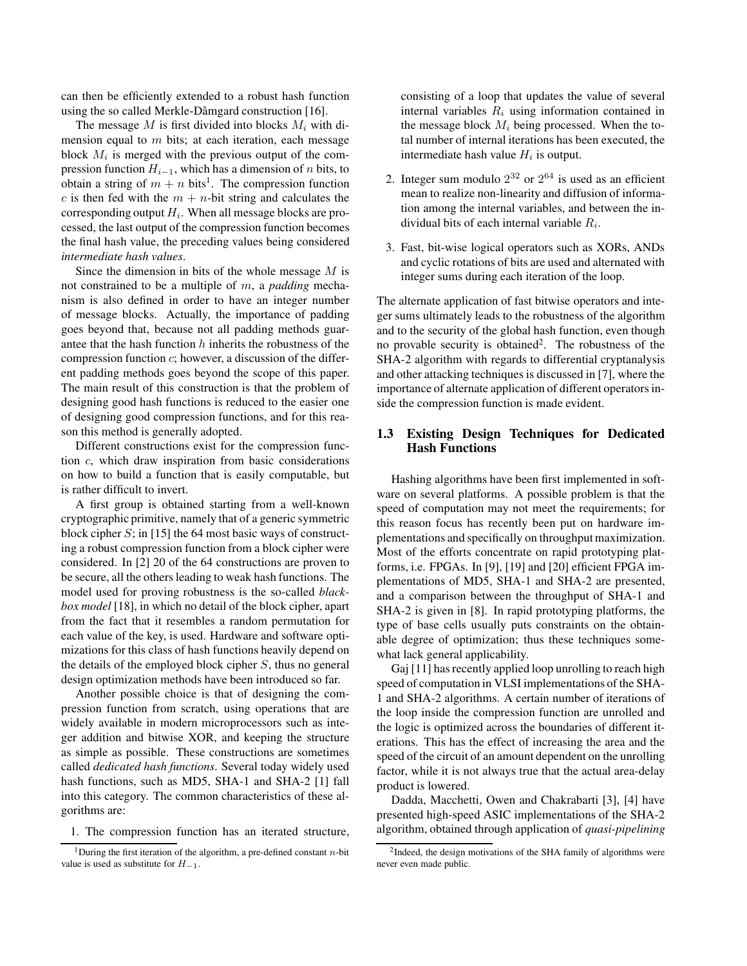can then be efficiently extended to a robust hash function using the so called Merkle-Dåmgard construction [16].

The message M is first divided into blocks M*<sup>i</sup>* with dimension equal to  $m$  bits; at each iteration, each message block M*<sup>i</sup>* is merged with the previous output of the compression function  $H_{i-1}$ , which has a dimension of *n* bits, to obtain a string of  $m + n$  bits<sup>1</sup>. The compression function c is then fed with the  $m + n$ -bit string and calculates the corresponding output H*i*. When all message blocks are processed, the last output of the compression function becomes the final hash value, the preceding values being considered *intermediate hash values*.

Since the dimension in bits of the whole message  $M$  is not constrained to be a multiple of m, a *padding* mechanism is also defined in order to have an integer number of message blocks. Actually, the importance of padding goes beyond that, because not all padding methods guarantee that the hash function  $h$  inherits the robustness of the compression function  $c$ ; however, a discussion of the different padding methods goes beyond the scope of this paper. The main result of this construction is that the problem of designing good hash functions is reduced to the easier one of designing good compression functions, and for this reason this method is generally adopted.

Different constructions exist for the compression function c, which draw inspiration from basic considerations on how to build a function that is easily computable, but is rather difficult to invert.

A first group is obtained starting from a well-known cryptographic primitive, namely that of a generic symmetric block cipher  $S$ ; in [15] the 64 most basic ways of constructing a robust compression function from a block cipher were considered. In [2] 20 of the 64 constructions are proven to be secure, all the others leading to weak hash functions. The model used for proving robustness is the so-called *blackbox model* [18], in which no detail of the block cipher, apart from the fact that it resembles a random permutation for each value of the key, is used. Hardware and software optimizations for this class of hash functions heavily depend on the details of the employed block cipher  $S$ , thus no general design optimization methods have been introduced so far.

Another possible choice is that of designing the compression function from scratch, using operations that are widely available in modern microprocessors such as integer addition and bitwise XOR, and keeping the structure as simple as possible. These constructions are sometimes called *dedicated hash functions*. Several today widely used hash functions, such as MD5, SHA-1 and SHA-2 [1] fall into this category. The common characteristics of these algorithms are:

1. The compression function has an iterated structure,

consisting of a loop that updates the value of several internal variables R*<sup>i</sup>* using information contained in the message block  $M_i$  being processed. When the total number of internal iterations has been executed, the intermediate hash value H*<sup>i</sup>* is output.

- 2. Integer sum modulo  $2^{32}$  or  $2^{64}$  is used as an efficient mean to realize non-linearity and diffusion of information among the internal variables, and between the individual bits of each internal variable R*i*.
- 3. Fast, bit-wise logical operators such as XORs, ANDs and cyclic rotations of bits are used and alternated with integer sums during each iteration of the loop.

The alternate application of fast bitwise operators and integer sums ultimately leads to the robustness of the algorithm and to the security of the global hash function, even though no provable security is obtained<sup>2</sup>. The robustness of the SHA-2 algorithm with regards to differential cryptanalysis and other attacking techniques is discussed in [7], where the importance of alternate application of different operators inside the compression function is made evident.

# **1.3 Existing Design Techniques for Dedicated Hash Functions**

Hashing algorithms have been first implemented in software on several platforms. A possible problem is that the speed of computation may not meet the requirements; for this reason focus has recently been put on hardware implementations and specifically on throughput maximization. Most of the efforts concentrate on rapid prototyping platforms, i.e. FPGAs. In [9], [19] and [20] efficient FPGA implementations of MD5, SHA-1 and SHA-2 are presented, and a comparison between the throughput of SHA-1 and SHA-2 is given in [8]. In rapid prototyping platforms, the type of base cells usually puts constraints on the obtainable degree of optimization; thus these techniques somewhat lack general applicability.

Gaj [11] has recently applied loop unrolling to reach high speed of computation in VLSI implementations of the SHA-1 and SHA-2 algorithms. A certain number of iterations of the loop inside the compression function are unrolled and the logic is optimized across the boundaries of different iterations. This has the effect of increasing the area and the speed of the circuit of an amount dependent on the unrolling factor, while it is not always true that the actual area-delay product is lowered.

Dadda, Macchetti, Owen and Chakrabarti [3], [4] have presented high-speed ASIC implementations of the SHA-2 algorithm, obtained through application of *quasi-pipelining*

<sup>&</sup>lt;sup>1</sup> During the first iteration of the algorithm, a pre-defined constant  $n$ -bit value is used as substitute for *H−*1.

<sup>2</sup>Indeed, the design motivations of the SHA family of algorithms were never even made public.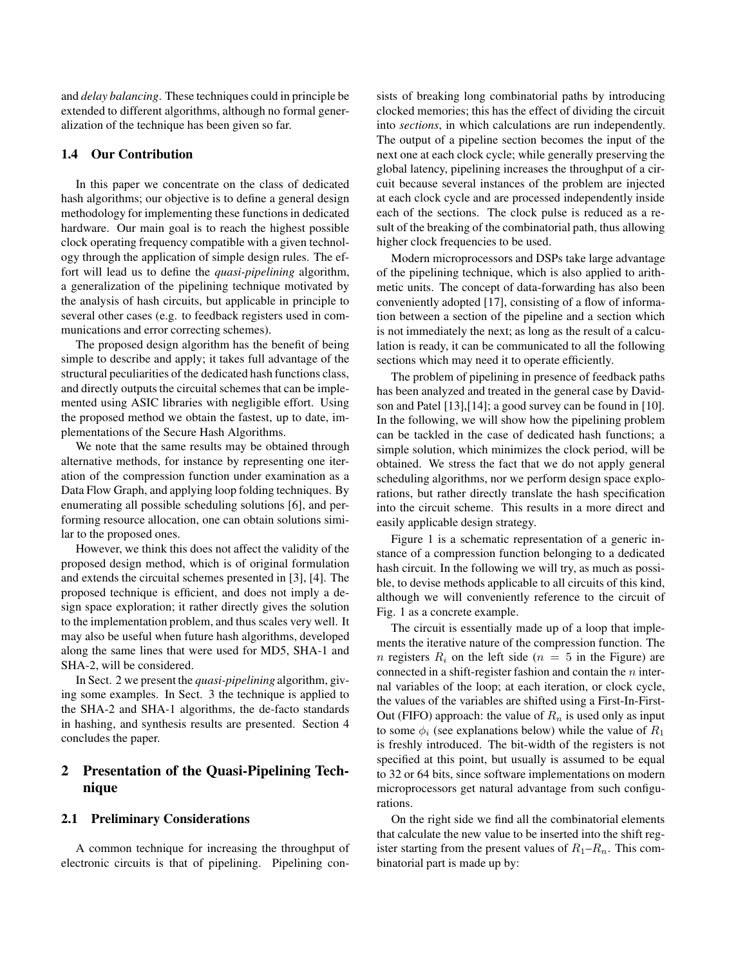and *delay balancing*. These techniques could in principle be extended to different algorithms, although no formal generalization of the technique has been given so far.

# **1.4 Our Contribution**

In this paper we concentrate on the class of dedicated hash algorithms; our objective is to define a general design methodology for implementing these functions in dedicated hardware. Our main goal is to reach the highest possible clock operating frequency compatible with a given technology through the application of simple design rules. The effort will lead us to define the *quasi-pipelining* algorithm, a generalization of the pipelining technique motivated by the analysis of hash circuits, but applicable in principle to several other cases (e.g. to feedback registers used in communications and error correcting schemes).

The proposed design algorithm has the benefit of being simple to describe and apply; it takes full advantage of the structural peculiarities of the dedicated hash functions class, and directly outputs the circuital schemes that can be implemented using ASIC libraries with negligible effort. Using the proposed method we obtain the fastest, up to date, implementations of the Secure Hash Algorithms.

We note that the same results may be obtained through alternative methods, for instance by representing one iteration of the compression function under examination as a Data Flow Graph, and applying loop folding techniques. By enumerating all possible scheduling solutions [6], and performing resource allocation, one can obtain solutions similar to the proposed ones.

However, we think this does not affect the validity of the proposed design method, which is of original formulation and extends the circuital schemes presented in [3], [4]. The proposed technique is efficient, and does not imply a design space exploration; it rather directly gives the solution to the implementation problem, and thus scales very well. It may also be useful when future hash algorithms, developed along the same lines that were used for MD5, SHA-1 and SHA-2, will be considered.

In Sect. 2 we present the *quasi-pipelining* algorithm, giving some examples. In Sect. 3 the technique is applied to the SHA-2 and SHA-1 algorithms, the de-facto standards in hashing, and synthesis results are presented. Section 4 concludes the paper.

# **2 Presentation of the Quasi-Pipelining Technique**

# **2.1 Preliminary Considerations**

A common technique for increasing the throughput of electronic circuits is that of pipelining. Pipelining consists of breaking long combinatorial paths by introducing clocked memories; this has the effect of dividing the circuit into *sections*, in which calculations are run independently. The output of a pipeline section becomes the input of the next one at each clock cycle; while generally preserving the global latency, pipelining increases the throughput of a circuit because several instances of the problem are injected at each clock cycle and are processed independently inside each of the sections. The clock pulse is reduced as a result of the breaking of the combinatorial path, thus allowing higher clock frequencies to be used.

Modern microprocessors and DSPs take large advantage of the pipelining technique, which is also applied to arithmetic units. The concept of data-forwarding has also been conveniently adopted [17], consisting of a flow of information between a section of the pipeline and a section which is not immediately the next; as long as the result of a calculation is ready, it can be communicated to all the following sections which may need it to operate efficiently.

The problem of pipelining in presence of feedback paths has been analyzed and treated in the general case by Davidson and Patel [13],[14]; a good survey can be found in [10]. In the following, we will show how the pipelining problem can be tackled in the case of dedicated hash functions; a simple solution, which minimizes the clock period, will be obtained. We stress the fact that we do not apply general scheduling algorithms, nor we perform design space explorations, but rather directly translate the hash specification into the circuit scheme. This results in a more direct and easily applicable design strategy.

Figure 1 is a schematic representation of a generic instance of a compression function belonging to a dedicated hash circuit. In the following we will try, as much as possible, to devise methods applicable to all circuits of this kind, although we will conveniently reference to the circuit of Fig. 1 as a concrete example.

The circuit is essentially made up of a loop that implements the iterative nature of the compression function. The *n* registers  $R_i$  on the left side ( $n = 5$  in the Figure) are connected in a shift-register fashion and contain the  $n$  internal variables of the loop; at each iteration, or clock cycle, the values of the variables are shifted using a First-In-First-Out (FIFO) approach: the value of  $R_n$  is used only as input to some  $\phi_i$  (see explanations below) while the value of  $R_1$ is freshly introduced. The bit-width of the registers is not specified at this point, but usually is assumed to be equal to 32 or 64 bits, since software implementations on modern microprocessors get natural advantage from such configurations.

On the right side we find all the combinatorial elements that calculate the new value to be inserted into the shift register starting from the present values of  $R_1-R_n$ . This combinatorial part is made up by: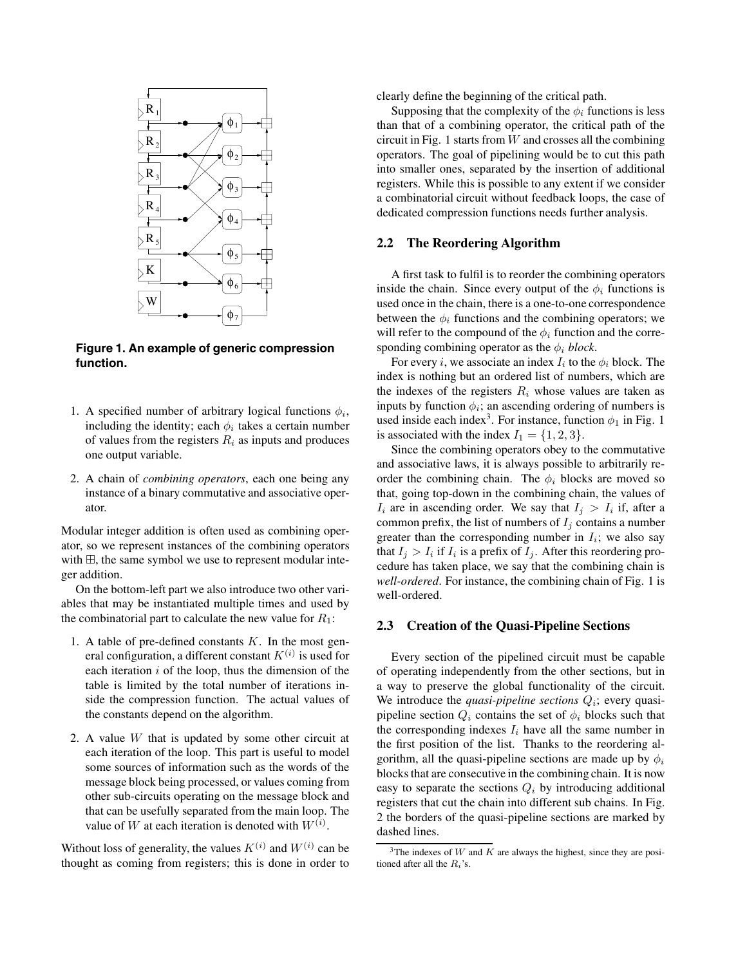

**Figure 1. An example of generic compression function.**

- 1. A specified number of arbitrary logical functions  $\phi_i$ , including the identity; each  $\phi_i$  takes a certain number of values from the registers R*<sup>i</sup>* as inputs and produces one output variable.
- 2. A chain of *combining operators*, each one being any instance of a binary commutative and associative operator.

Modular integer addition is often used as combining operator, so we represent instances of the combining operators with  $\boxplus$ , the same symbol we use to represent modular integer addition.

On the bottom-left part we also introduce two other variables that may be instantiated multiple times and used by the combinatorial part to calculate the new value for  $R_1$ :

- 1. A table of pre-defined constants  $K$ . In the most general configuration, a different constant  $K^{(i)}$  is used for each iteration  $i$  of the loop, thus the dimension of the table is limited by the total number of iterations inside the compression function. The actual values of the constants depend on the algorithm.
- 2. A value  $W$  that is updated by some other circuit at each iteration of the loop. This part is useful to model some sources of information such as the words of the message block being processed, or values coming from other sub-circuits operating on the message block and that can be usefully separated from the main loop. The value of W at each iteration is denoted with  $W^{(i)}$ .

Without loss of generality, the values  $K^{(i)}$  and  $W^{(i)}$  can be thought as coming from registers; this is done in order to

clearly define the beginning of the critical path.

Supposing that the complexity of the  $\phi_i$  functions is less than that of a combining operator, the critical path of the circuit in Fig. 1 starts from  $W$  and crosses all the combining operators. The goal of pipelining would be to cut this path into smaller ones, separated by the insertion of additional registers. While this is possible to any extent if we consider a combinatorial circuit without feedback loops, the case of dedicated compression functions needs further analysis.

#### **2.2 The Reordering Algorithm**

A first task to fulfil is to reorder the combining operators inside the chain. Since every output of the  $\phi_i$  functions is used once in the chain, there is a one-to-one correspondence between the  $\phi_i$  functions and the combining operators; we will refer to the compound of the  $\phi_i$  function and the corresponding combining operator as the  $\phi_i$  *block*.

For every *i*, we associate an index  $I_i$  to the  $\phi_i$  block. The index is nothing but an ordered list of numbers, which are the indexes of the registers  $R_i$  whose values are taken as inputs by function  $\phi_i$ ; an ascending ordering of numbers is used inside each index<sup>3</sup>. For instance, function  $\phi_1$  in Fig. 1 is associated with the index  $I_1 = \{1, 2, 3\}.$ 

Since the combining operators obey to the commutative and associative laws, it is always possible to arbitrarily reorder the combining chain. The  $\phi_i$  blocks are moved so that, going top-down in the combining chain, the values of  $I_i$  are in ascending order. We say that  $I_j > I_i$  if, after a common prefix, the list of numbers of  $I_j$  contains a number greater than the corresponding number in  $I_i$ ; we also say that  $I_i > I_i$  if  $I_i$  is a prefix of  $I_i$ . After this reordering procedure has taken place, we say that the combining chain is *well-ordered*. For instance, the combining chain of Fig. 1 is well-ordered.

#### **2.3 Creation of the Quasi-Pipeline Sections**

Every section of the pipelined circuit must be capable of operating independently from the other sections, but in a way to preserve the global functionality of the circuit. We introduce the *quasi-pipeline sections*  $Q_i$ ; every quasipipeline section  $Q_i$  contains the set of  $\phi_i$  blocks such that the corresponding indexes  $I_i$  have all the same number in the first position of the list. Thanks to the reordering algorithm, all the quasi-pipeline sections are made up by  $\phi_i$ blocks that are consecutive in the combining chain. It is now easy to separate the sections  $Q_i$  by introducing additional registers that cut the chain into different sub chains. In Fig. 2 the borders of the quasi-pipeline sections are marked by dashed lines.

<sup>&</sup>lt;sup>3</sup>The indexes of *W* and *K* are always the highest, since they are positioned after all the *Ri*'s.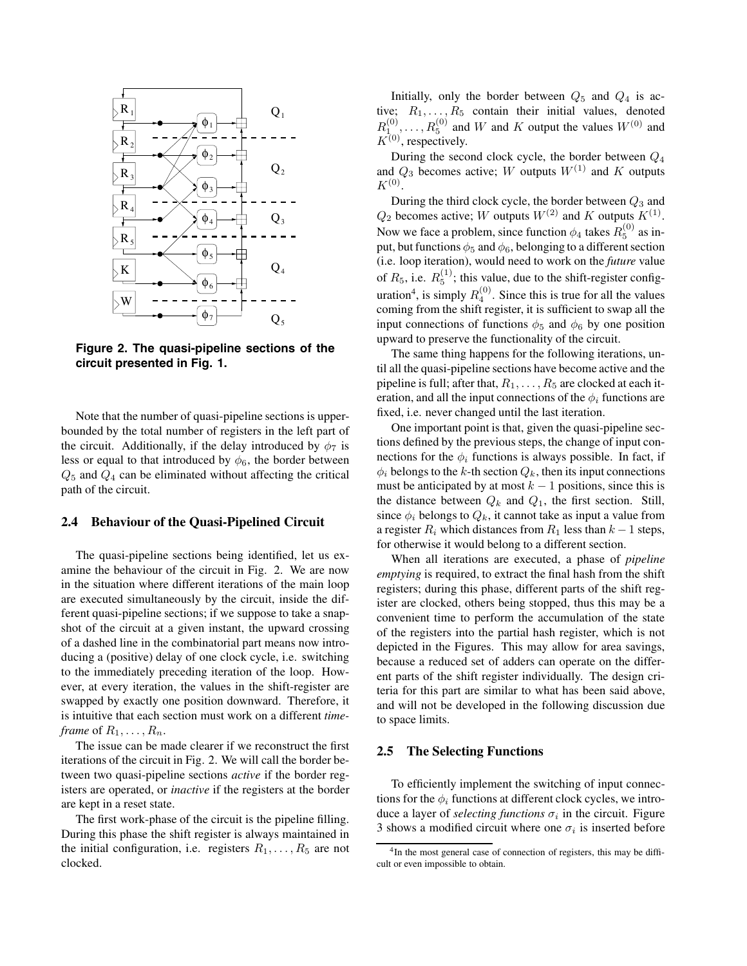

**Figure 2. The quasi-pipeline sections of the circuit presented in Fig. 1.**

Note that the number of quasi-pipeline sections is upperbounded by the total number of registers in the left part of the circuit. Additionally, if the delay introduced by  $\phi_7$  is less or equal to that introduced by  $\phi_6$ , the border between  $Q_5$  and  $Q_4$  can be eliminated without affecting the critical path of the circuit.

### **2.4 Behaviour of the Quasi-Pipelined Circuit**

The quasi-pipeline sections being identified, let us examine the behaviour of the circuit in Fig. 2. We are now in the situation where different iterations of the main loop are executed simultaneously by the circuit, inside the different quasi-pipeline sections; if we suppose to take a snapshot of the circuit at a given instant, the upward crossing of a dashed line in the combinatorial part means now introducing a (positive) delay of one clock cycle, i.e. switching to the immediately preceding iteration of the loop. However, at every iteration, the values in the shift-register are swapped by exactly one position downward. Therefore, it is intuitive that each section must work on a different *timeframe* of  $R_1, \ldots, R_n$ *.* 

The issue can be made clearer if we reconstruct the first iterations of the circuit in Fig. 2. We will call the border between two quasi-pipeline sections *active* if the border registers are operated, or *inactive* if the registers at the border are kept in a reset state.

The first work-phase of the circuit is the pipeline filling. During this phase the shift register is always maintained in the initial configuration, i.e. registers  $R_1, \ldots, R_5$  are not clocked.

Initially, only the border between  $Q_5$  and  $Q_4$  is active;  $R_1, \ldots, R_5$  contain their initial values, denoted  $R_{1}^{(0)}, \ldots, R_{5}^{(0)}$  and W and K output the values  $W^{(0)}$  and  $K^{(0)}$ , respectively.

During the second clock cycle, the border between  $Q_4$ and  $Q_3$  becomes active; W outputs  $W^{(1)}$  and K outputs  $K^{(0)}$ .

During the third clock cycle, the border between  $Q_3$  and  $Q_2$  becomes active; W outputs  $W^{(2)}$  and K outputs  $K^{(1)}$ . Now we face a problem, since function  $\phi_4$  takes  $R_5^{(0)}$  as input, but functions  $\phi_5$  and  $\phi_6$ , belonging to a different section (i.e. loop iteration), would need to work on the *future* value of  $R_5$ , i.e.  $R_5^{(1)}$ ; this value, due to the shift-register configuration<sup>4</sup>, is simply  $R_4^{(0)}$ . Since this is true for all the values coming from the shift register, it is sufficient to swap all the input connections of functions  $\phi_5$  and  $\phi_6$  by one position upward to preserve the functionality of the circuit.

The same thing happens for the following iterations, until all the quasi-pipeline sections have become active and the pipeline is full; after that,  $R_1, \ldots, R_5$  are clocked at each iteration, and all the input connections of the  $\phi_i$  functions are fixed, i.e. never changed until the last iteration.

One important point is that, given the quasi-pipeline sections defined by the previous steps, the change of input connections for the  $\phi_i$  functions is always possible. In fact, if  $\phi_i$  belongs to the k-th section  $Q_k$ , then its input connections must be anticipated by at most  $k - 1$  positions, since this is the distance between  $Q_k$  and  $Q_1$ , the first section. Still, since  $\phi_i$  belongs to  $Q_k$ , it cannot take as input a value from a register  $R_i$  which distances from  $R_1$  less than  $k - 1$  steps, for otherwise it would belong to a different section.

When all iterations are executed, a phase of *pipeline emptying* is required, to extract the final hash from the shift registers; during this phase, different parts of the shift register are clocked, others being stopped, thus this may be a convenient time to perform the accumulation of the state of the registers into the partial hash register, which is not depicted in the Figures. This may allow for area savings, because a reduced set of adders can operate on the different parts of the shift register individually. The design criteria for this part are similar to what has been said above, and will not be developed in the following discussion due to space limits.

## **2.5 The Selecting Functions**

To efficiently implement the switching of input connections for the  $\phi_i$  functions at different clock cycles, we introduce a layer of *selecting functions*  $\sigma_i$  in the circuit. Figure 3 shows a modified circuit where one  $\sigma_i$  is inserted before

<sup>&</sup>lt;sup>4</sup>In the most general case of connection of registers, this may be difficult or even impossible to obtain.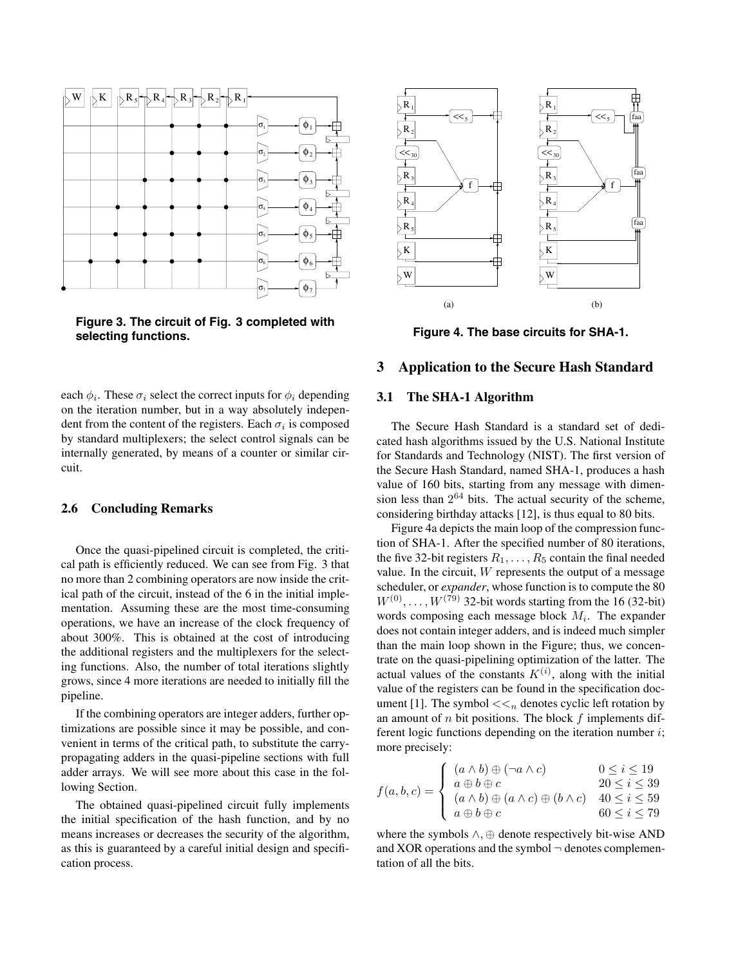

**Figure 3. The circuit of Fig. 3 completed with selecting functions.**

each  $\phi_i$ . These  $\sigma_i$  select the correct inputs for  $\phi_i$  depending on the iteration number, but in a way absolutely independent from the content of the registers. Each  $\sigma_i$  is composed by standard multiplexers; the select control signals can be internally generated, by means of a counter or similar circuit.

# **2.6 Concluding Remarks**

Once the quasi-pipelined circuit is completed, the critical path is efficiently reduced. We can see from Fig. 3 that no more than 2 combining operators are now inside the critical path of the circuit, instead of the 6 in the initial implementation. Assuming these are the most time-consuming operations, we have an increase of the clock frequency of about 300%. This is obtained at the cost of introducing the additional registers and the multiplexers for the selecting functions. Also, the number of total iterations slightly grows, since 4 more iterations are needed to initially fill the pipeline.

If the combining operators are integer adders, further optimizations are possible since it may be possible, and convenient in terms of the critical path, to substitute the carrypropagating adders in the quasi-pipeline sections with full adder arrays. We will see more about this case in the following Section.

The obtained quasi-pipelined circuit fully implements the initial specification of the hash function, and by no means increases or decreases the security of the algorithm, as this is guaranteed by a careful initial design and specification process.



**Figure 4. The base circuits for SHA-1.**

## **3 Application to the Secure Hash Standard**

### **3.1 The SHA-1 Algorithm**

The Secure Hash Standard is a standard set of dedicated hash algorithms issued by the U.S. National Institute for Standards and Technology (NIST). The first version of the Secure Hash Standard, named SHA-1, produces a hash value of 160 bits, starting from any message with dimension less than  $2^{64}$  bits. The actual security of the scheme, considering birthday attacks [12], is thus equal to 80 bits.

Figure 4a depicts the main loop of the compression function of SHA-1. After the specified number of 80 iterations, the five 32-bit registers  $R_1, \ldots, R_5$  contain the final needed value. In the circuit,  $W$  represents the output of a message scheduler, or *expander*, whose function is to compute the 80  $W^{(0)}, \ldots, W^{(79)}$  32-bit words starting from the 16 (32-bit) words composing each message block M*i*. The expander does not contain integer adders, and is indeed much simpler than the main loop shown in the Figure; thus, we concentrate on the quasi-pipelining optimization of the latter. The actual values of the constants  $K^{(i)}$ , along with the initial value of the registers can be found in the specification document [1]. The symbol  $<<sub>n</sub>$  denotes cyclic left rotation by an amount of  $n$  bit positions. The block  $f$  implements different logic functions depending on the iteration number  $i$ ; more precisely:

$$
f(a,b,c) = \begin{cases} (a \wedge b) \oplus (\neg a \wedge c) & 0 \leq i \leq 19 \\ a \oplus b \oplus c & 20 \leq i \leq 39 \\ (a \wedge b) \oplus (a \wedge c) \oplus (b \wedge c) & 40 \leq i \leq 59 \\ a \oplus b \oplus c & 60 \leq i \leq 79 \end{cases}
$$

where the symbols ∧, ⊕ denote respectively bit-wise AND and XOR operations and the symbol  $\neg$  denotes complementation of all the bits.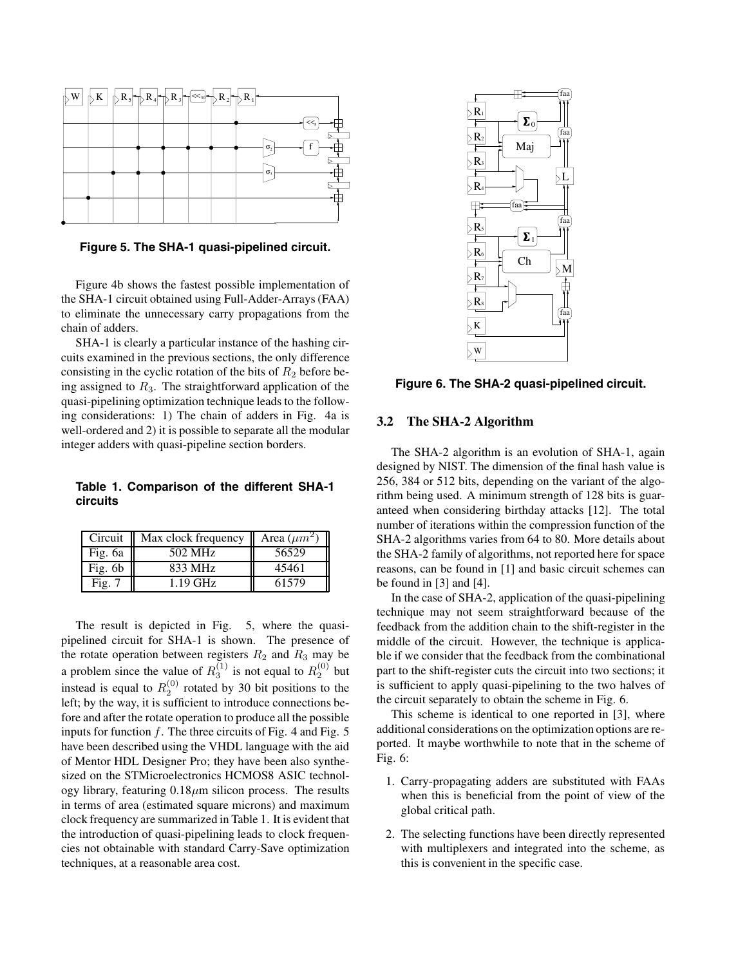

**Figure 5. The SHA-1 quasi-pipelined circuit.**

Figure 4b shows the fastest possible implementation of the SHA-1 circuit obtained using Full-Adder-Arrays (FAA) to eliminate the unnecessary carry propagations from the chain of adders.

SHA-1 is clearly a particular instance of the hashing circuits examined in the previous sections, the only difference consisting in the cyclic rotation of the bits of  $R_2$  before being assigned to  $R_3$ . The straightforward application of the quasi-pipelining optimization technique leads to the following considerations: 1) The chain of adders in Fig. 4a is well-ordered and 2) it is possible to separate all the modular integer adders with quasi-pipeline section borders.

**Table 1. Comparison of the different SHA-1 circuits**

| Circuit   | Max clock frequency | Area $(\mu m^2)$ |
|-----------|---------------------|------------------|
| Fig. 6a   | 502 MHz             | 56529            |
| Fig. $6b$ | 833 MHz             | 45461            |
| Fig. 7    | 1.19 GHz            | 61579            |

The result is depicted in Fig. 5, where the quasipipelined circuit for SHA-1 is shown. The presence of the rotate operation between registers  $R_2$  and  $R_3$  may be a problem since the value of  $R_3^{(1)}$  is not equal to  $R_2^{(0)}$  but instead is equal to  $R_2^{(0)}$  rotated by 30 bit positions to the left; by the way, it is sufficient to introduce connections before and after the rotate operation to produce all the possible inputs for function  $f$ . The three circuits of Fig. 4 and Fig. 5 have been described using the VHDL language with the aid of Mentor HDL Designer Pro; they have been also synthesized on the STMicroelectronics HCMOS8 ASIC technology library, featuring  $0.18 \mu m$  silicon process. The results in terms of area (estimated square microns) and maximum clock frequency are summarized in Table 1. It is evident that the introduction of quasi-pipelining leads to clock frequencies not obtainable with standard Carry-Save optimization techniques, at a reasonable area cost.



**Figure 6. The SHA-2 quasi-pipelined circuit.**

## **3.2 The SHA-2 Algorithm**

The SHA-2 algorithm is an evolution of SHA-1, again designed by NIST. The dimension of the final hash value is 256, 384 or 512 bits, depending on the variant of the algorithm being used. A minimum strength of 128 bits is guaranteed when considering birthday attacks [12]. The total number of iterations within the compression function of the SHA-2 algorithms varies from 64 to 80. More details about the SHA-2 family of algorithms, not reported here for space reasons, can be found in [1] and basic circuit schemes can be found in [3] and [4].

In the case of SHA-2, application of the quasi-pipelining technique may not seem straightforward because of the feedback from the addition chain to the shift-register in the middle of the circuit. However, the technique is applicable if we consider that the feedback from the combinational part to the shift-register cuts the circuit into two sections; it is sufficient to apply quasi-pipelining to the two halves of the circuit separately to obtain the scheme in Fig. 6.

This scheme is identical to one reported in [3], where additional considerations on the optimization options are reported. It maybe worthwhile to note that in the scheme of Fig. 6:

- 1. Carry-propagating adders are substituted with FAAs when this is beneficial from the point of view of the global critical path.
- 2. The selecting functions have been directly represented with multiplexers and integrated into the scheme, as this is convenient in the specific case.